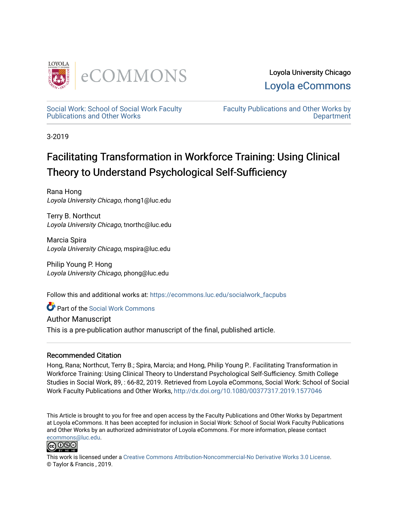

Loyola University Chicago [Loyola eCommons](https://ecommons.luc.edu/) 

[Social Work: School of Social Work Faculty](https://ecommons.luc.edu/socialwork_facpubs)  [Publications and Other Works](https://ecommons.luc.edu/socialwork_facpubs) 

[Faculty Publications and Other Works by](https://ecommons.luc.edu/faculty)  **Department** 

3-2019

# Facilitating Transformation in Workforce Training: Using Clinical Theory to Understand Psychological Self-Sufficiency

Rana Hong Loyola University Chicago, rhong1@luc.edu

Terry B. Northcut Loyola University Chicago, tnorthc@luc.edu

Marcia Spira Loyola University Chicago, mspira@luc.edu

Philip Young P. Hong Loyola University Chicago, phong@luc.edu

Follow this and additional works at: [https://ecommons.luc.edu/socialwork\\_facpubs](https://ecommons.luc.edu/socialwork_facpubs?utm_source=ecommons.luc.edu%2Fsocialwork_facpubs%2F104&utm_medium=PDF&utm_campaign=PDFCoverPages) 

Part of the [Social Work Commons](http://network.bepress.com/hgg/discipline/713?utm_source=ecommons.luc.edu%2Fsocialwork_facpubs%2F104&utm_medium=PDF&utm_campaign=PDFCoverPages)

Author Manuscript

This is a pre-publication author manuscript of the final, published article.

# Recommended Citation

Hong, Rana; Northcut, Terry B.; Spira, Marcia; and Hong, Philip Young P.. Facilitating Transformation in Workforce Training: Using Clinical Theory to Understand Psychological Self-Sufficiency. Smith College Studies in Social Work, 89, : 66-82, 2019. Retrieved from Loyola eCommons, Social Work: School of Social Work Faculty Publications and Other Works, <http://dx.doi.org/10.1080/00377317.2019.1577046>

This Article is brought to you for free and open access by the Faculty Publications and Other Works by Department at Loyola eCommons. It has been accepted for inclusion in Social Work: School of Social Work Faculty Publications and Other Works by an authorized administrator of Loyola eCommons. For more information, please contact [ecommons@luc.edu](mailto:ecommons@luc.edu).



This work is licensed under a [Creative Commons Attribution-Noncommercial-No Derivative Works 3.0 License.](https://creativecommons.org/licenses/by-nc-nd/3.0/) © Taylor & Francis , 2019.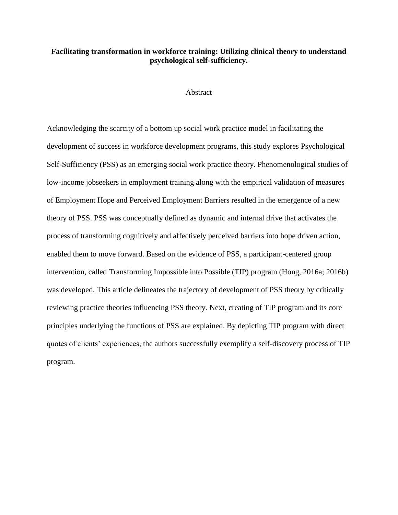# **Facilitating transformation in workforce training: Utilizing clinical theory to understand psychological self-sufficiency.**

#### Abstract

Acknowledging the scarcity of a bottom up social work practice model in facilitating the development of success in workforce development programs, this study explores Psychological Self-Sufficiency (PSS) as an emerging social work practice theory. Phenomenological studies of low-income jobseekers in employment training along with the empirical validation of measures of Employment Hope and Perceived Employment Barriers resulted in the emergence of a new theory of PSS. PSS was conceptually defined as dynamic and internal drive that activates the process of transforming cognitively and affectively perceived barriers into hope driven action, enabled them to move forward. Based on the evidence of PSS, a participant-centered group intervention, called Transforming Impossible into Possible (TIP) program (Hong, 2016a; 2016b) was developed. This article delineates the trajectory of development of PSS theory by critically reviewing practice theories influencing PSS theory. Next, creating of TIP program and its core principles underlying the functions of PSS are explained. By depicting TIP program with direct quotes of clients' experiences, the authors successfully exemplify a self-discovery process of TIP program.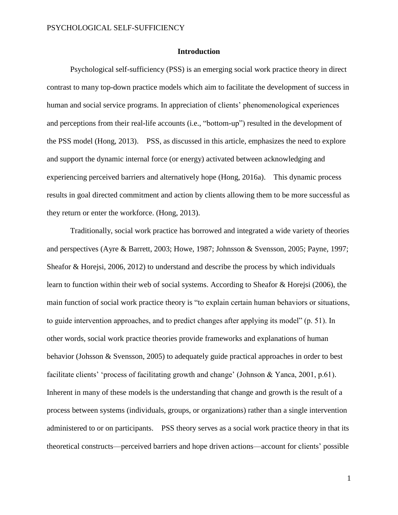## **Introduction**

Psychological self-sufficiency (PSS) is an emerging social work practice theory in direct contrast to many top-down practice models which aim to facilitate the development of success in human and social service programs. In appreciation of clients' phenomenological experiences and perceptions from their real-life accounts (i.e., "bottom-up") resulted in the development of the PSS model (Hong, 2013). PSS, as discussed in this article, emphasizes the need to explore and support the dynamic internal force (or energy) activated between acknowledging and experiencing perceived barriers and alternatively hope (Hong, 2016a). This dynamic process results in goal directed commitment and action by clients allowing them to be more successful as they return or enter the workforce. (Hong, 2013).

Traditionally, social work practice has borrowed and integrated a wide variety of theories and perspectives (Ayre & Barrett, 2003; Howe, 1987; Johnsson & Svensson, 2005; Payne, 1997; Sheafor & Horejsi, 2006, 2012) to understand and describe the process by which individuals learn to function within their web of social systems. According to Sheafor & Horejsi (2006), the main function of social work practice theory is "to explain certain human behaviors or situations, to guide intervention approaches, and to predict changes after applying its model" (p. 51). In other words, social work practice theories provide frameworks and explanations of human behavior (Johsson & Svensson, 2005) to adequately guide practical approaches in order to best facilitate clients' 'process of facilitating growth and change' (Johnson & Yanca, 2001, p.61). Inherent in many of these models is the understanding that change and growth is the result of a process between systems (individuals, groups, or organizations) rather than a single intervention administered to or on participants. PSS theory serves as a social work practice theory in that its theoretical constructs—perceived barriers and hope driven actions—account for clients' possible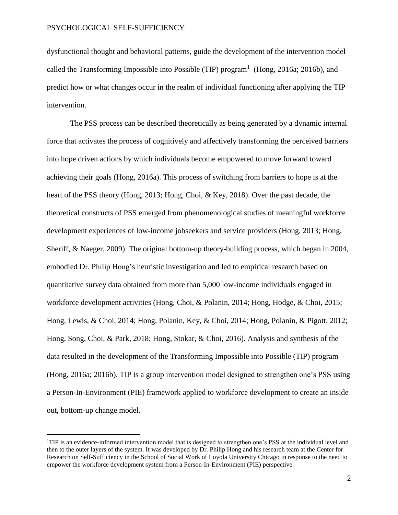$\overline{a}$ 

dysfunctional thought and behavioral patterns, guide the development of the intervention model called the Transforming Impossible into Possible (TIP) program<sup>1</sup> (Hong, 2016a; 2016b), and predict how or what changes occur in the realm of individual functioning after applying the TIP intervention.

The PSS process can be described theoretically as being generated by a dynamic internal force that activates the process of cognitively and affectively transforming the perceived barriers into hope driven actions by which individuals become empowered to move forward toward achieving their goals (Hong, 2016a). This process of switching from barriers to hope is at the heart of the PSS theory (Hong, 2013; Hong, Choi, & Key, 2018). Over the past decade, the theoretical constructs of PSS emerged from phenomenological studies of meaningful workforce development experiences of low-income jobseekers and service providers (Hong, 2013; Hong, Sheriff, & Naeger, 2009). The original bottom-up theory-building process, which began in 2004, embodied Dr. Philip Hong's heuristic investigation and led to empirical research based on quantitative survey data obtained from more than 5,000 low-income individuals engaged in workforce development activities (Hong, Choi, & Polanin, 2014; Hong, Hodge, & Choi, 2015; Hong, Lewis, & Choi, 2014; Hong, Polanin, Key, & Choi, 2014; Hong, Polanin, & Pigott, 2012; Hong, Song, Choi, & Park, 2018; Hong, Stokar, & Choi, 2016). Analysis and synthesis of the data resulted in the development of the Transforming Impossible into Possible (TIP) program (Hong, 2016a; 2016b). TIP is a group intervention model designed to strengthen one's PSS using a Person-In-Environment (PIE) framework applied to workforce development to create an inside out, bottom-up change model.

<sup>&</sup>lt;sup>1</sup>TIP is an evidence-informed intervention model that is designed to strengthen one's PSS at the individual level and then to the outer layers of the system. It was developed by Dr. Philip Hong and his research team at the Center for Research on Self-Sufficiency in the School of Social Work of Loyola University Chicago in response to the need to empower the workforce development system from a Person-In-Environment (PIE) perspective.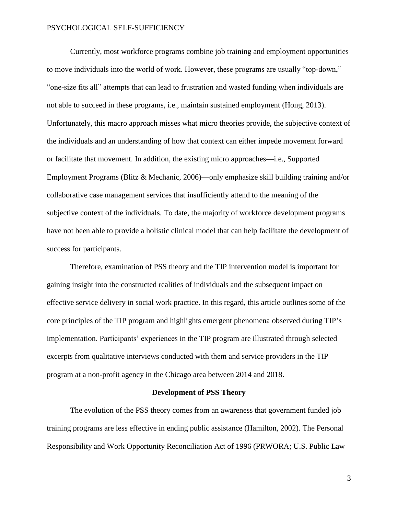Currently, most workforce programs combine job training and employment opportunities to move individuals into the world of work. However, these programs are usually "top-down," "one-size fits all" attempts that can lead to frustration and wasted funding when individuals are not able to succeed in these programs, i.e., maintain sustained employment (Hong, 2013). Unfortunately, this macro approach misses what micro theories provide, the subjective context of the individuals and an understanding of how that context can either impede movement forward or facilitate that movement. In addition, the existing micro approaches—i.e., Supported Employment Programs (Blitz & Mechanic, 2006)—only emphasize skill building training and/or collaborative case management services that insufficiently attend to the meaning of the subjective context of the individuals. To date, the majority of workforce development programs have not been able to provide a holistic clinical model that can help facilitate the development of success for participants.

Therefore, examination of PSS theory and the TIP intervention model is important for gaining insight into the constructed realities of individuals and the subsequent impact on effective service delivery in social work practice. In this regard, this article outlines some of the core principles of the TIP program and highlights emergent phenomena observed during TIP's implementation. Participants' experiences in the TIP program are illustrated through selected excerpts from qualitative interviews conducted with them and service providers in the TIP program at a non-profit agency in the Chicago area between 2014 and 2018.

#### **Development of PSS Theory**

The evolution of the PSS theory comes from an awareness that government funded job training programs are less effective in ending public assistance (Hamilton, 2002). The Personal Responsibility and Work Opportunity Reconciliation Act of 1996 (PRWORA; U.S. Public Law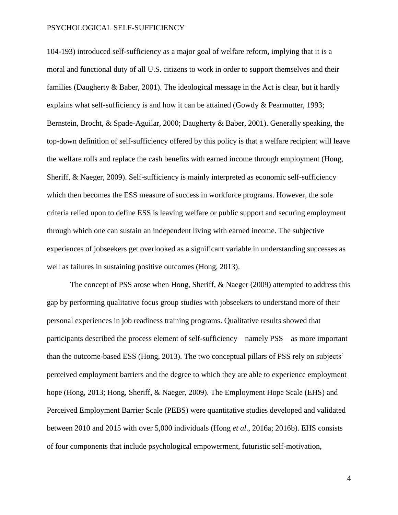104-193) introduced self-sufficiency as a major goal of welfare reform, implying that it is a moral and functional duty of all U.S. citizens to work in order to support themselves and their families (Daugherty & Baber, 2001). The ideological message in the Act is clear, but it hardly explains what self-sufficiency is and how it can be attained (Gowdy & Pearmutter, 1993; Bernstein, Brocht, & Spade-Aguilar, 2000; Daugherty & Baber, 2001). Generally speaking, the top-down definition of self-sufficiency offered by this policy is that a welfare recipient will leave the welfare rolls and replace the cash benefits with earned income through employment (Hong, Sheriff, & Naeger, 2009). Self-sufficiency is mainly interpreted as economic self-sufficiency which then becomes the ESS measure of success in workforce programs. However, the sole criteria relied upon to define ESS is leaving welfare or public support and securing employment through which one can sustain an independent living with earned income. The subjective experiences of jobseekers get overlooked as a significant variable in understanding successes as well as failures in sustaining positive outcomes (Hong, 2013).

The concept of PSS arose when Hong, Sheriff, & Naeger (2009) attempted to address this gap by performing qualitative focus group studies with jobseekers to understand more of their personal experiences in job readiness training programs. Qualitative results showed that participants described the process element of self-sufficiency—namely PSS—as more important than the outcome-based ESS (Hong, 2013). The two conceptual pillars of PSS rely on subjects' perceived employment barriers and the degree to which they are able to experience employment hope (Hong, 2013; Hong, Sheriff, & Naeger, 2009). The Employment Hope Scale (EHS) and Perceived Employment Barrier Scale (PEBS) were quantitative studies developed and validated between 2010 and 2015 with over 5,000 individuals (Hong *et al*., 2016a; 2016b). EHS consists of four components that include psychological empowerment, futuristic self-motivation,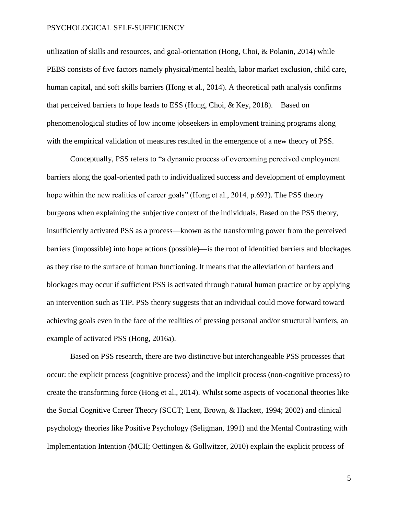utilization of skills and resources, and goal-orientation (Hong, Choi, & Polanin, 2014) while PEBS consists of five factors namely physical/mental health, labor market exclusion, child care, human capital, and soft skills barriers (Hong et al., 2014). A theoretical path analysis confirms that perceived barriers to hope leads to ESS (Hong, Choi, & Key, 2018). Based on phenomenological studies of low income jobseekers in employment training programs along with the empirical validation of measures resulted in the emergence of a new theory of PSS.

Conceptually, PSS refers to "a dynamic process of overcoming perceived employment barriers along the goal-oriented path to individualized success and development of employment hope within the new realities of career goals" (Hong et al., 2014, p.693). The PSS theory burgeons when explaining the subjective context of the individuals. Based on the PSS theory, insufficiently activated PSS as a process—known as the transforming power from the perceived barriers (impossible) into hope actions (possible)—is the root of identified barriers and blockages as they rise to the surface of human functioning. It means that the alleviation of barriers and blockages may occur if sufficient PSS is activated through natural human practice or by applying an intervention such as TIP. PSS theory suggests that an individual could move forward toward achieving goals even in the face of the realities of pressing personal and/or structural barriers, an example of activated PSS (Hong, 2016a).

Based on PSS research, there are two distinctive but interchangeable PSS processes that occur: the explicit process (cognitive process) and the implicit process (non-cognitive process) to create the transforming force (Hong et al., 2014). Whilst some aspects of vocational theories like the Social Cognitive Career Theory (SCCT; Lent, Brown, & Hackett, 1994; 2002) and clinical psychology theories like Positive Psychology (Seligman, 1991) and the Mental Contrasting with Implementation Intention (MCII; Oettingen & Gollwitzer, 2010) explain the explicit process of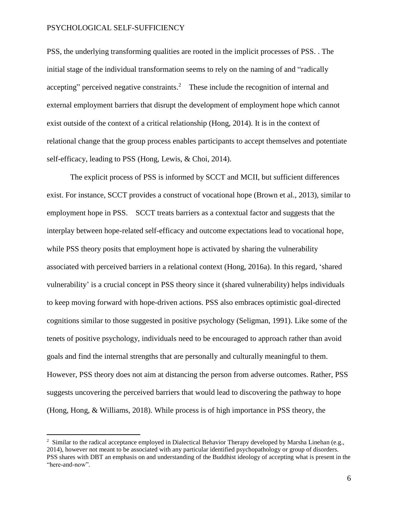$\overline{a}$ 

PSS, the underlying transforming qualities are rooted in the implicit processes of PSS. . The initial stage of the individual transformation seems to rely on the naming of and "radically accepting" perceived negative constraints.<sup>2</sup> These include the recognition of internal and external employment barriers that disrupt the development of employment hope which cannot exist outside of the context of a critical relationship (Hong, 2014). It is in the context of relational change that the group process enables participants to accept themselves and potentiate self-efficacy, leading to PSS (Hong, Lewis, & Choi, 2014).

The explicit process of PSS is informed by SCCT and MCII, but sufficient differences exist. For instance, SCCT provides a construct of vocational hope (Brown et al., 2013), similar to employment hope in PSS. SCCT treats barriers as a contextual factor and suggests that the interplay between hope-related self-efficacy and outcome expectations lead to vocational hope, while PSS theory posits that employment hope is activated by sharing the vulnerability associated with perceived barriers in a relational context (Hong, 2016a). In this regard, 'shared vulnerability' is a crucial concept in PSS theory since it (shared vulnerability) helps individuals to keep moving forward with hope-driven actions. PSS also embraces optimistic goal-directed cognitions similar to those suggested in positive psychology (Seligman, 1991). Like some of the tenets of positive psychology, individuals need to be encouraged to approach rather than avoid goals and find the internal strengths that are personally and culturally meaningful to them. However, PSS theory does not aim at distancing the person from adverse outcomes. Rather, PSS suggests uncovering the perceived barriers that would lead to discovering the pathway to hope (Hong, Hong, & Williams, 2018). While process is of high importance in PSS theory, the

<sup>&</sup>lt;sup>2</sup> Similar to the radical acceptance employed in Dialectical Behavior Therapy developed by Marsha Linehan (e.g., 2014), however not meant to be associated with any particular identified psychopathology or group of disorders. PSS shares with DBT an emphasis on and understanding of the Buddhist ideology of accepting what is present in the "here-and-now".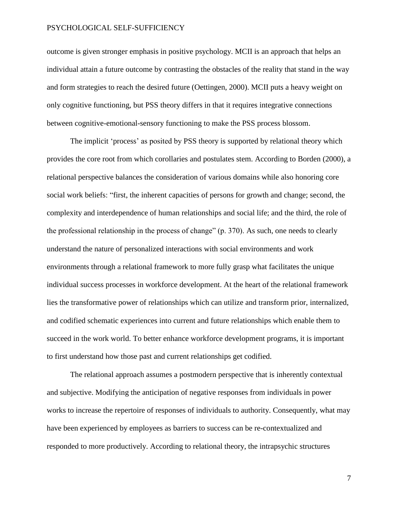outcome is given stronger emphasis in positive psychology. MCII is an approach that helps an individual attain a future outcome by contrasting the obstacles of the reality that stand in the way and form strategies to reach the desired future (Oettingen, 2000). MCII puts a heavy weight on only cognitive functioning, but PSS theory differs in that it requires integrative connections between cognitive-emotional-sensory functioning to make the PSS process blossom.

The implicit 'process' as posited by PSS theory is supported by relational theory which provides the core root from which corollaries and postulates stem. According to Borden (2000), a relational perspective balances the consideration of various domains while also honoring core social work beliefs: "first, the inherent capacities of persons for growth and change; second, the complexity and interdependence of human relationships and social life; and the third, the role of the professional relationship in the process of change" (p. 370). As such, one needs to clearly understand the nature of personalized interactions with social environments and work environments through a relational framework to more fully grasp what facilitates the unique individual success processes in workforce development. At the heart of the relational framework lies the transformative power of relationships which can utilize and transform prior, internalized, and codified schematic experiences into current and future relationships which enable them to succeed in the work world. To better enhance workforce development programs, it is important to first understand how those past and current relationships get codified.

The relational approach assumes a postmodern perspective that is inherently contextual and subjective. Modifying the anticipation of negative responses from individuals in power works to increase the repertoire of responses of individuals to authority. Consequently, what may have been experienced by employees as barriers to success can be re-contextualized and responded to more productively. According to relational theory, the intrapsychic structures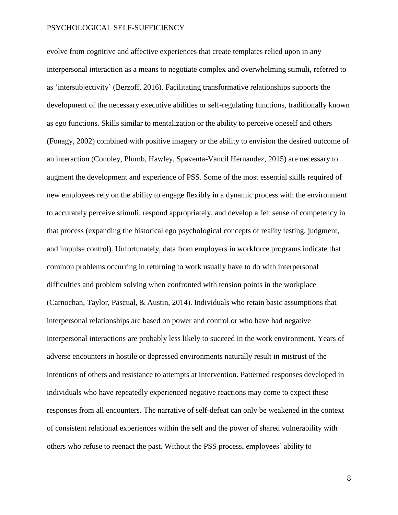evolve from cognitive and affective experiences that create templates relied upon in any interpersonal interaction as a means to negotiate complex and overwhelming stimuli, referred to as 'intersubjectivity' (Berzoff, 2016). Facilitating transformative relationships supports the development of the necessary executive abilities or self-regulating functions, traditionally known as ego functions. Skills similar to mentalization or the ability to perceive oneself and others (Fonagy, 2002) combined with positive imagery or the ability to envision the desired outcome of an interaction (Conoley, Plumb, Hawley, Spaventa-Vancil Hernandez, 2015) are necessary to augment the development and experience of PSS. Some of the most essential skills required of new employees rely on the ability to engage flexibly in a dynamic process with the environment to accurately perceive stimuli, respond appropriately, and develop a felt sense of competency in that process (expanding the historical ego psychological concepts of reality testing, judgment, and impulse control). Unfortunately, data from employers in workforce programs indicate that common problems occurring in returning to work usually have to do with interpersonal difficulties and problem solving when confronted with tension points in the workplace (Carnochan, Taylor, Pascual, & Austin, 2014). Individuals who retain basic assumptions that interpersonal relationships are based on power and control or who have had negative interpersonal interactions are probably less likely to succeed in the work environment. Years of adverse encounters in hostile or depressed environments naturally result in mistrust of the intentions of others and resistance to attempts at intervention. Patterned responses developed in individuals who have repeatedly experienced negative reactions may come to expect these responses from all encounters. The narrative of self-defeat can only be weakened in the context of consistent relational experiences within the self and the power of shared vulnerability with others who refuse to reenact the past. Without the PSS process, employees' ability to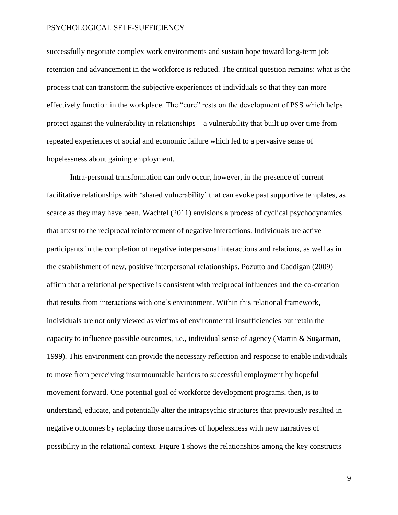successfully negotiate complex work environments and sustain hope toward long-term job retention and advancement in the workforce is reduced. The critical question remains: what is the process that can transform the subjective experiences of individuals so that they can more effectively function in the workplace. The "cure" rests on the development of PSS which helps protect against the vulnerability in relationships—a vulnerability that built up over time from repeated experiences of social and economic failure which led to a pervasive sense of hopelessness about gaining employment.

Intra-personal transformation can only occur, however, in the presence of current facilitative relationships with 'shared vulnerability' that can evoke past supportive templates, as scarce as they may have been. Wachtel (2011) envisions a process of cyclical psychodynamics that attest to the reciprocal reinforcement of negative interactions. Individuals are active participants in the completion of negative interpersonal interactions and relations, as well as in the establishment of new, positive interpersonal relationships. Pozutto and Caddigan (2009) affirm that a relational perspective is consistent with reciprocal influences and the co-creation that results from interactions with one's environment. Within this relational framework, individuals are not only viewed as victims of environmental insufficiencies but retain the capacity to influence possible outcomes, i.e., individual sense of agency (Martin & Sugarman, 1999). This environment can provide the necessary reflection and response to enable individuals to move from perceiving insurmountable barriers to successful employment by hopeful movement forward. One potential goal of workforce development programs, then, is to understand, educate, and potentially alter the intrapsychic structures that previously resulted in negative outcomes by replacing those narratives of hopelessness with new narratives of possibility in the relational context. Figure 1 shows the relationships among the key constructs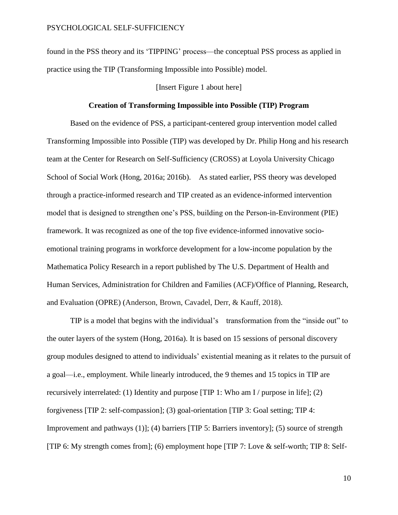found in the PSS theory and its 'TIPPING' process—the conceptual PSS process as applied in practice using the TIP (Transforming Impossible into Possible) model.

## [Insert Figure 1 about here]

#### **Creation of Transforming Impossible into Possible (TIP) Program**

Based on the evidence of PSS, a participant-centered group intervention model called Transforming Impossible into Possible (TIP) was developed by Dr. Philip Hong and his research team at the Center for Research on Self-Sufficiency (CROSS) at Loyola University Chicago School of Social Work (Hong, 2016a; 2016b). As stated earlier, PSS theory was developed through a practice-informed research and TIP created as an evidence-informed intervention model that is designed to strengthen one's PSS, building on the Person-in-Environment (PIE) framework. It was recognized as one of the top five evidence-informed innovative socioemotional training programs in workforce development for a low-income population by the Mathematica Policy Research in a report published by The U.S. Department of Health and Human Services, Administration for Children and Families (ACF)/Office of Planning, Research, and Evaluation (OPRE) (Anderson, Brown, Cavadel, Derr, & Kauff, 2018).

TIP is a model that begins with the individual's transformation from the "inside out" to the outer layers of the system (Hong, 2016a). It is based on 15 sessions of personal discovery group modules designed to attend to individuals' existential meaning as it relates to the pursuit of a goal—i.e., employment. While linearly introduced, the 9 themes and 15 topics in TIP are recursively interrelated: (1) Identity and purpose [TIP 1: Who am I / purpose in life]; (2) forgiveness [TIP 2: self-compassion]; (3) goal-orientation [TIP 3: Goal setting; TIP 4: Improvement and pathways (1)]; (4) barriers [TIP 5: Barriers inventory]; (5) source of strength [TIP 6: My strength comes from]; (6) employment hope [TIP 7: Love & self-worth; TIP 8: Self-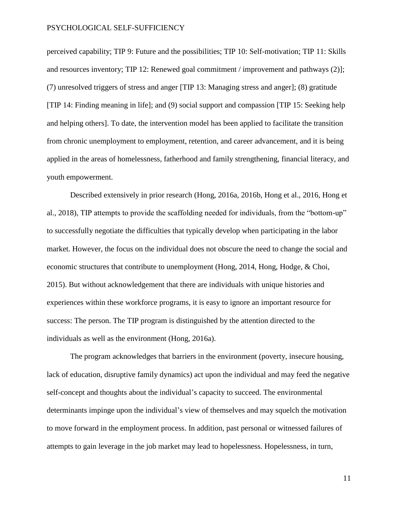perceived capability; TIP 9: Future and the possibilities; TIP 10: Self-motivation; TIP 11: Skills and resources inventory; TIP 12: Renewed goal commitment / improvement and pathways (2)]; (7) unresolved triggers of stress and anger [TIP 13: Managing stress and anger]; (8) gratitude [TIP 14: Finding meaning in life]; and (9) social support and compassion [TIP 15: Seeking help and helping others]. To date, the intervention model has been applied to facilitate the transition from chronic unemployment to employment, retention, and career advancement, and it is being applied in the areas of homelessness, fatherhood and family strengthening, financial literacy, and youth empowerment.

Described extensively in prior research (Hong, 2016a, 2016b, Hong et al., 2016, Hong et al., 2018), TIP attempts to provide the scaffolding needed for individuals, from the "bottom-up" to successfully negotiate the difficulties that typically develop when participating in the labor market. However, the focus on the individual does not obscure the need to change the social and economic structures that contribute to unemployment (Hong, 2014, Hong, Hodge, & Choi, 2015). But without acknowledgement that there are individuals with unique histories and experiences within these workforce programs, it is easy to ignore an important resource for success: The person. The TIP program is distinguished by the attention directed to the individuals as well as the environment (Hong, 2016a).

The program acknowledges that barriers in the environment (poverty, insecure housing, lack of education, disruptive family dynamics) act upon the individual and may feed the negative self-concept and thoughts about the individual's capacity to succeed. The environmental determinants impinge upon the individual's view of themselves and may squelch the motivation to move forward in the employment process. In addition, past personal or witnessed failures of attempts to gain leverage in the job market may lead to hopelessness. Hopelessness, in turn,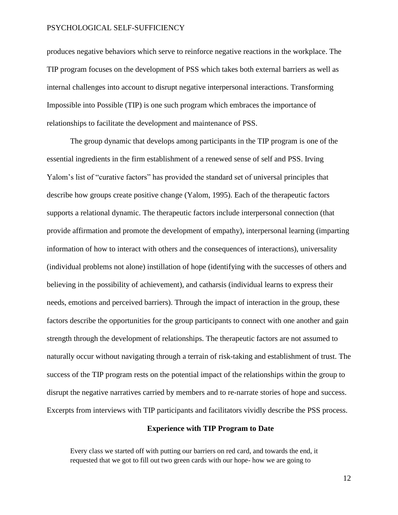produces negative behaviors which serve to reinforce negative reactions in the workplace. The TIP program focuses on the development of PSS which takes both external barriers as well as internal challenges into account to disrupt negative interpersonal interactions. Transforming Impossible into Possible (TIP) is one such program which embraces the importance of relationships to facilitate the development and maintenance of PSS.

The group dynamic that develops among participants in the TIP program is one of the essential ingredients in the firm establishment of a renewed sense of self and PSS. Irving Yalom's list of "curative factors" has provided the standard set of universal principles that describe how groups create positive change (Yalom, 1995). Each of the therapeutic factors supports a relational dynamic. The therapeutic factors include interpersonal connection (that provide affirmation and promote the development of empathy), interpersonal learning (imparting information of how to interact with others and the consequences of interactions), universality (individual problems not alone) instillation of hope (identifying with the successes of others and believing in the possibility of achievement), and catharsis (individual learns to express their needs, emotions and perceived barriers). Through the impact of interaction in the group, these factors describe the opportunities for the group participants to connect with one another and gain strength through the development of relationships. The therapeutic factors are not assumed to naturally occur without navigating through a terrain of risk-taking and establishment of trust. The success of the TIP program rests on the potential impact of the relationships within the group to disrupt the negative narratives carried by members and to re-narrate stories of hope and success. Excerpts from interviews with TIP participants and facilitators vividly describe the PSS process.

#### **Experience with TIP Program to Date**

Every class we started off with putting our barriers on red card, and towards the end, it requested that we got to fill out two green cards with our hope- how we are going to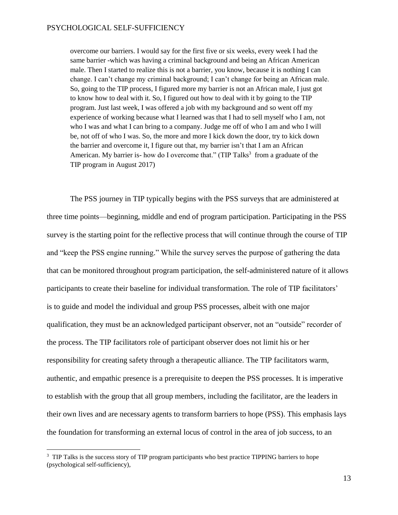overcome our barriers. I would say for the first five or six weeks, every week I had the same barrier -which was having a criminal background and being an African American male. Then I started to realize this is not a barrier, you know, because it is nothing I can change. I can't change my criminal background; I can't change for being an African male. So, going to the TIP process, I figured more my barrier is not an African male, I just got to know how to deal with it. So, I figured out how to deal with it by going to the TIP program. Just last week, I was offered a job with my background and so went off my experience of working because what I learned was that I had to sell myself who I am, not who I was and what I can bring to a company. Judge me off of who I am and who I will be, not off of who I was. So, the more and more I kick down the door, try to kick down the barrier and overcome it, I figure out that, my barrier isn't that I am an African American. My barrier is- how do I overcome that." (TIP Talks<sup>3</sup> from a graduate of the TIP program in August 2017)

The PSS journey in TIP typically begins with the PSS surveys that are administered at three time points—beginning, middle and end of program participation. Participating in the PSS survey is the starting point for the reflective process that will continue through the course of TIP and "keep the PSS engine running." While the survey serves the purpose of gathering the data that can be monitored throughout program participation, the self-administered nature of it allows participants to create their baseline for individual transformation. The role of TIP facilitators' is to guide and model the individual and group PSS processes, albeit with one major qualification, they must be an acknowledged participant observer, not an "outside" recorder of the process. The TIP facilitators role of participant observer does not limit his or her responsibility for creating safety through a therapeutic alliance. The TIP facilitators warm, authentic, and empathic presence is a prerequisite to deepen the PSS processes. It is imperative to establish with the group that all group members, including the facilitator, are the leaders in their own lives and are necessary agents to transform barriers to hope (PSS). This emphasis lays the foundation for transforming an external locus of control in the area of job success, to an

 $\overline{a}$ 

<sup>&</sup>lt;sup>3</sup> TIP Talks is the success story of TIP program participants who best practice TIPPING barriers to hope (psychological self-sufficiency),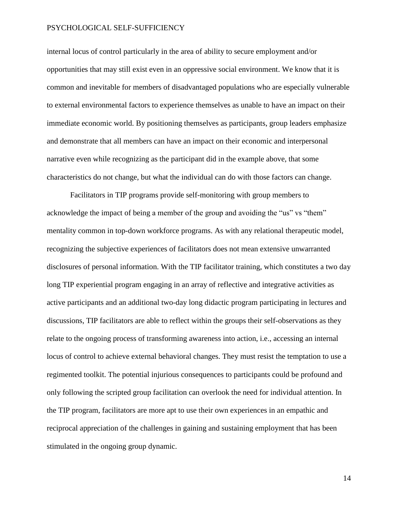internal locus of control particularly in the area of ability to secure employment and/or opportunities that may still exist even in an oppressive social environment. We know that it is common and inevitable for members of disadvantaged populations who are especially vulnerable to external environmental factors to experience themselves as unable to have an impact on their immediate economic world. By positioning themselves as participants, group leaders emphasize and demonstrate that all members can have an impact on their economic and interpersonal narrative even while recognizing as the participant did in the example above, that some characteristics do not change, but what the individual can do with those factors can change.

Facilitators in TIP programs provide self-monitoring with group members to acknowledge the impact of being a member of the group and avoiding the "us" vs "them" mentality common in top-down workforce programs. As with any relational therapeutic model, recognizing the subjective experiences of facilitators does not mean extensive unwarranted disclosures of personal information. With the TIP facilitator training, which constitutes a two day long TIP experiential program engaging in an array of reflective and integrative activities as active participants and an additional two-day long didactic program participating in lectures and discussions, TIP facilitators are able to reflect within the groups their self-observations as they relate to the ongoing process of transforming awareness into action, i.e., accessing an internal locus of control to achieve external behavioral changes. They must resist the temptation to use a regimented toolkit. The potential injurious consequences to participants could be profound and only following the scripted group facilitation can overlook the need for individual attention. In the TIP program, facilitators are more apt to use their own experiences in an empathic and reciprocal appreciation of the challenges in gaining and sustaining employment that has been stimulated in the ongoing group dynamic.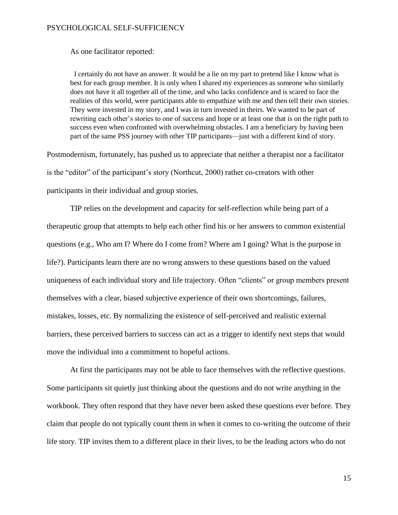As one facilitator reported:

I certainly do not have an answer. It would be a lie on my part to pretend like I know what is best for each group member. It is only when I shared my experiences as someone who similarly does not have it all together all of the time, and who lacks confidence and is scared to face the realities of this world, were participants able to empathize with me and then tell their own stories. They were invested in my story, and I was in turn invested in theirs. We wanted to be part of rewriting each other's stories to one of success and hope or at least one that is on the right path to success even when confronted with overwhelming obstacles. I am a beneficiary by having been part of the same PSS journey with other TIP participants—just with a different kind of story.

Postmodernism, fortunately, has pushed us to appreciate that neither a therapist nor a facilitator is the "editor" of the participant's story (Northcut, 2000) rather co-creators with other participants in their individual and group stories.

TIP relies on the development and capacity for self-reflection while being part of a therapeutic group that attempts to help each other find his or her answers to common existential questions (e.g., Who am I? Where do I come from? Where am I going? What is the purpose in life?). Participants learn there are no wrong answers to these questions based on the valued uniqueness of each individual story and life trajectory. Often "clients" or group members present themselves with a clear, biased subjective experience of their own shortcomings, failures, mistakes, losses, etc. By normalizing the existence of self-perceived and realistic external barriers, these perceived barriers to success can act as a trigger to identify next steps that would move the individual into a commitment to hopeful actions.

At first the participants may not be able to face themselves with the reflective questions. Some participants sit quietly just thinking about the questions and do not write anything in the workbook. They often respond that they have never been asked these questions ever before. They claim that people do not typically count them in when it comes to co-writing the outcome of their life story. TIP invites them to a different place in their lives, to be the leading actors who do not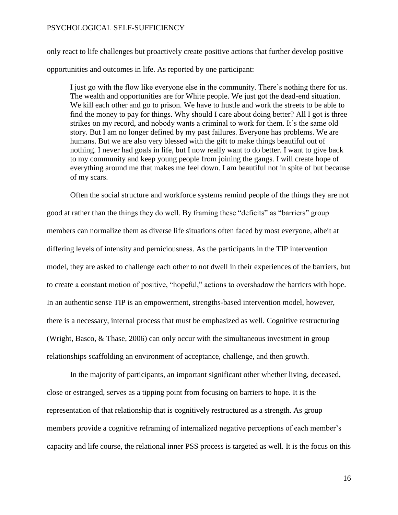only react to life challenges but proactively create positive actions that further develop positive opportunities and outcomes in life. As reported by one participant:

I just go with the flow like everyone else in the community. There's nothing there for us. The wealth and opportunities are for White people. We just got the dead-end situation. We kill each other and go to prison. We have to hustle and work the streets to be able to find the money to pay for things. Why should I care about doing better? All I got is three strikes on my record, and nobody wants a criminal to work for them. It's the same old story. But I am no longer defined by my past failures. Everyone has problems. We are humans. But we are also very blessed with the gift to make things beautiful out of nothing. I never had goals in life, but I now really want to do better. I want to give back to my community and keep young people from joining the gangs. I will create hope of everything around me that makes me feel down. I am beautiful not in spite of but because of my scars.

Often the social structure and workforce systems remind people of the things they are not good at rather than the things they do well. By framing these "deficits" as "barriers" group members can normalize them as diverse life situations often faced by most everyone, albeit at differing levels of intensity and perniciousness. As the participants in the TIP intervention model, they are asked to challenge each other to not dwell in their experiences of the barriers, but to create a constant motion of positive, "hopeful," actions to overshadow the barriers with hope. In an authentic sense TIP is an empowerment, strengths-based intervention model, however, there is a necessary, internal process that must be emphasized as well. Cognitive restructuring (Wright, Basco, & Thase, 2006) can only occur with the simultaneous investment in group relationships scaffolding an environment of acceptance, challenge, and then growth.

In the majority of participants, an important significant other whether living, deceased, close or estranged, serves as a tipping point from focusing on barriers to hope. It is the representation of that relationship that is cognitively restructured as a strength. As group members provide a cognitive reframing of internalized negative perceptions of each member's capacity and life course, the relational inner PSS process is targeted as well. It is the focus on this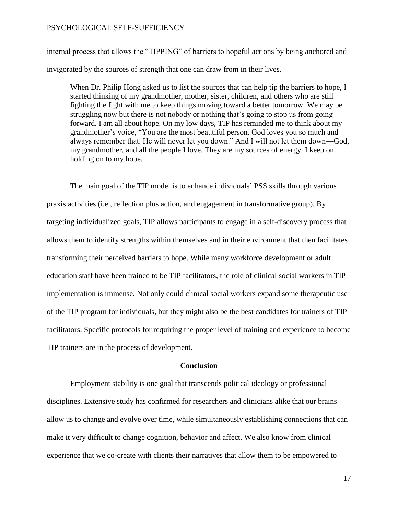internal process that allows the "TIPPING" of barriers to hopeful actions by being anchored and invigorated by the sources of strength that one can draw from in their lives.

When Dr. Philip Hong asked us to list the sources that can help tip the barriers to hope, I started thinking of my grandmother, mother, sister, children, and others who are still fighting the fight with me to keep things moving toward a better tomorrow. We may be struggling now but there is not nobody or nothing that's going to stop us from going forward. I am all about hope. On my low days, TIP has reminded me to think about my grandmother's voice, "You are the most beautiful person. God loves you so much and always remember that. He will never let you down." And I will not let them down—God, my grandmother, and all the people I love. They are my sources of energy. I keep on holding on to my hope.

The main goal of the TIP model is to enhance individuals' PSS skills through various praxis activities (i.e., reflection plus action, and engagement in transformative group). By targeting individualized goals, TIP allows participants to engage in a self-discovery process that allows them to identify strengths within themselves and in their environment that then facilitates transforming their perceived barriers to hope. While many workforce development or adult education staff have been trained to be TIP facilitators, the role of clinical social workers in TIP implementation is immense. Not only could clinical social workers expand some therapeutic use of the TIP program for individuals, but they might also be the best candidates for trainers of TIP facilitators. Specific protocols for requiring the proper level of training and experience to become TIP trainers are in the process of development.

## **Conclusion**

Employment stability is one goal that transcends political ideology or professional disciplines. Extensive study has confirmed for researchers and clinicians alike that our brains allow us to change and evolve over time, while simultaneously establishing connections that can make it very difficult to change cognition, behavior and affect. We also know from clinical experience that we co-create with clients their narratives that allow them to be empowered to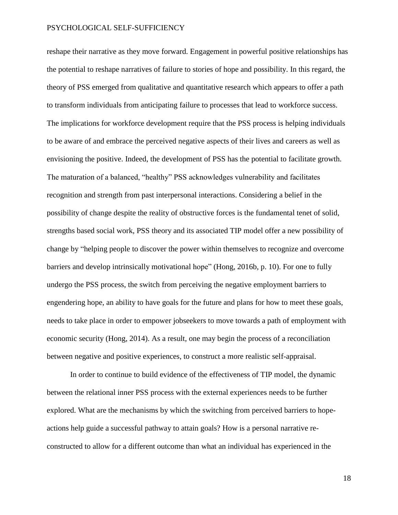reshape their narrative as they move forward. Engagement in powerful positive relationships has the potential to reshape narratives of failure to stories of hope and possibility. In this regard, the theory of PSS emerged from qualitative and quantitative research which appears to offer a path to transform individuals from anticipating failure to processes that lead to workforce success. The implications for workforce development require that the PSS process is helping individuals to be aware of and embrace the perceived negative aspects of their lives and careers as well as envisioning the positive. Indeed, the development of PSS has the potential to facilitate growth. The maturation of a balanced, "healthy" PSS acknowledges vulnerability and facilitates recognition and strength from past interpersonal interactions. Considering a belief in the possibility of change despite the reality of obstructive forces is the fundamental tenet of solid, strengths based social work, PSS theory and its associated TIP model offer a new possibility of change by "helping people to discover the power within themselves to recognize and overcome barriers and develop intrinsically motivational hope" (Hong, 2016b, p. 10). For one to fully undergo the PSS process, the switch from perceiving the negative employment barriers to engendering hope, an ability to have goals for the future and plans for how to meet these goals, needs to take place in order to empower jobseekers to move towards a path of employment with economic security (Hong, 2014). As a result, one may begin the process of a reconciliation between negative and positive experiences, to construct a more realistic self-appraisal.

In order to continue to build evidence of the effectiveness of TIP model, the dynamic between the relational inner PSS process with the external experiences needs to be further explored. What are the mechanisms by which the switching from perceived barriers to hopeactions help guide a successful pathway to attain goals? How is a personal narrative reconstructed to allow for a different outcome than what an individual has experienced in the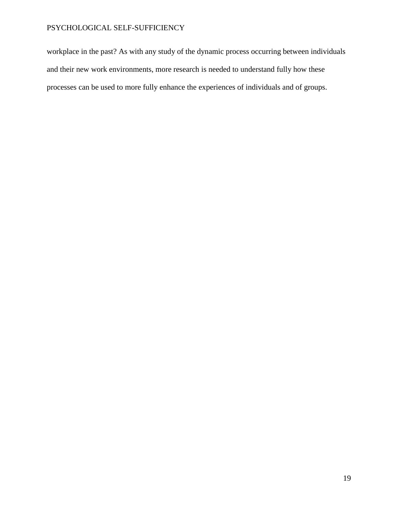workplace in the past? As with any study of the dynamic process occurring between individuals and their new work environments, more research is needed to understand fully how these processes can be used to more fully enhance the experiences of individuals and of groups.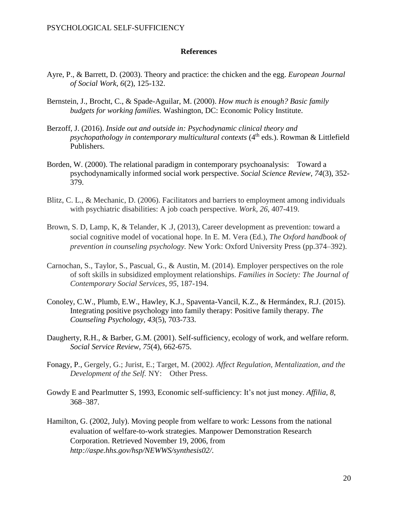### **References**

- Ayre, P., & Barrett, D. (2003). Theory and practice: the chicken and the egg. *European Journal of Social Work, 6*(2), 125-132.
- Bernstein, J., Brocht, C., & Spade-Aguilar, M. (2000). *How much is enough? Basic family budgets for working families.* Washington, DC: Economic Policy Institute.
- Berzoff, J. (2016). *Inside out and outside in: Psychodynamic clinical theory and psychopathology in contemporary multicultural contexts* (4<sup>th</sup> eds.). Rowman & Littlefield Publishers.
- Borden, W. (2000). The relational paradigm in contemporary psychoanalysis: Toward a psychodynamically informed social work perspective. *Social Science Review*, *74*(3), 352- 379.
- Blitz, C. L., & Mechanic, D. (2006). Facilitators and barriers to employment among individuals with psychiatric disabilities: A job coach perspective. *Work, 26*, 407-419.
- Brown, S. D, Lamp, K, & Telander, K .J, (2013), Career development as prevention: toward a social cognitive model of vocational hope. In E. M. Vera (Ed.), *The Oxford handbook of prevention in counseling psychology.* New York: Oxford University Press (pp.374–392).
- Carnochan, S., Taylor, S., Pascual, G., & Austin, M. (2014). Employer perspectives on the role of soft skills in subsidized employment relationships. *Families in Society: The Journal of Contemporary Social Services*, *95*, 187-194.
- Conoley, C.W., Plumb, E.W., Hawley, K.J., Spaventa-Vancil, K.Z., & Hermándex, R.J. (2015). Integrating positive psychology into family therapy: Positive family therapy. *The Counseling Psychology, 43*(5), 703-733.
- Daugherty, R.H., & Barber, G.M. (2001). Self-sufficiency, ecology of work, and welfare reform. *Social Service Review*, *75*(4), 662-675.
- Fonagy, P*.,* Gergely, G.; Jurist, E.; Target, M. (2002*). Affect Regulation, Mentalization, and the Development of the Self.* NY: Other Press.
- Gowdy E and Pearlmutter S, 1993, Economic self-sufficiency: It's not just money. *Affilia, 8*, 368–387.
- Hamilton, G. (2002, July). Moving people from welfare to work: Lessons from the national evaluation of welfare-to-work strategies. Manpower Demonstration Research Corporation. Retrieved November 19, 2006, from *<http://aspe.hhs.gov/hsp/NEWWS/synthesis02/>*.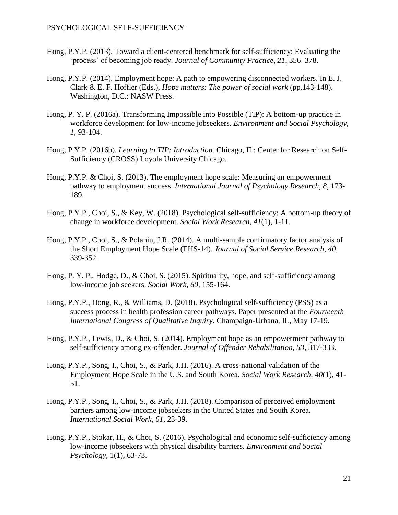- Hong, P.Y.P. (2013). Toward a client-centered benchmark for self-sufficiency: Evaluating the 'process' of becoming job ready. *Journal of Community Practice, 21*, 356–378.
- Hong, P.Y.P. (2014). Employment hope: A path to empowering disconnected workers. In E. J. Clark & E. F. Hoffler (Eds.), *Hope matters: The power of social work* (pp.143-148). Washington, D.C.: NASW Press.
- Hong, P. Y. P. (2016a). Transforming Impossible into Possible (TIP): A bottom-up practice in workforce development for low-income jobseekers. *Environment and Social Psychology, 1*, 93-104.
- Hong, P.Y.P. (2016b). *Learning to TIP: Introduction.* Chicago, IL: Center for Research on Self-Sufficiency (CROSS) Loyola University Chicago.
- Hong, P.Y.P. & Choi, S. (2013). The employment hope scale: Measuring an empowerment pathway to employment success. *International Journal of Psychology Research, 8,* 173- 189.
- Hong, P.Y.P., Choi, S., & Key, W. (2018). Psychological self-sufficiency: A bottom-up theory of change in workforce development. *Social Work Research, 41*(1), 1-11.
- Hong, P.Y.P., Choi, S., & Polanin, J.R. (2014). A multi-sample confirmatory factor analysis of the Short Employment Hope Scale (EHS-14). *Journal of Social Service Research, 40,*  339-352.
- Hong, P. Y. P., Hodge, D., & Choi, S. (2015). Spirituality, hope, and self-sufficiency among low-income job seekers. *Social Work, 60,* 155-164.
- Hong, P.Y.P., Hong, R., & Williams, D. (2018). Psychological self-sufficiency (PSS) as a success process in health profession career pathways. Paper presented at the *Fourteenth International Congress of Qualitative Inquiry*. Champaign-Urbana, IL, May 17-19.
- Hong, P.Y.P., Lewis, D., & Choi, S. (2014). Employment hope as an empowerment pathway to self-sufficiency among ex-offender. *Journal of Offender Rehabilitation, 53*, 317-333.
- Hong, P.Y.P., Song, I., Choi, S., & Park, J.H. (2016). A cross-national validation of the Employment Hope Scale in the U.S. and South Korea. *Social Work Research, 40*(1), 41- 51.
- Hong, P.Y.P., Song, I., Choi, S., & Park, J.H. (2018). Comparison of perceived employment barriers among low-income jobseekers in the United States and South Korea. *International Social Work, 61*, 23-39.
- Hong, P.Y.P., Stokar, H., & Choi, S. (2016). Psychological and economic self-sufficiency among low-income jobseekers with physical disability barriers. *Environment and Social Psychology,* 1(1), 63-73.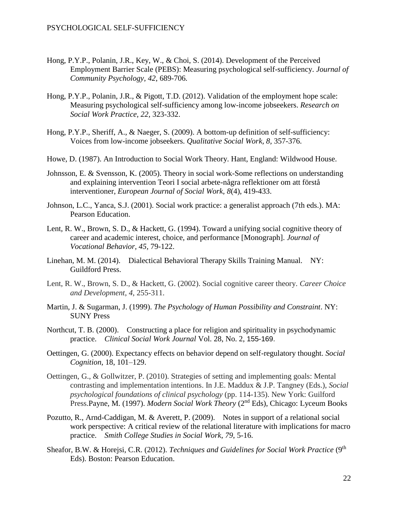- Hong, P.Y.P., Polanin, J.R., Key, W., & Choi, S. (2014). Development of the Perceived Employment Barrier Scale (PEBS): Measuring psychological self-sufficiency. *Journal of Community Psychology, 42*, 689-706*.*
- Hong, P.Y.P., Polanin, J.R., & Pigott, T.D. (2012). Validation of the employment hope scale: Measuring psychological self-sufficiency among low-income jobseekers. *Research on Social Work Practice, 22,* 323-332.
- Hong, P.Y.P., Sheriff, A., & Naeger, S. (2009). A bottom-up definition of self-sufficiency: Voices from low-income jobseekers. *Qualitative Social Work, 8,* 357-376.
- Howe, D. (1987). An Introduction to Social Work Theory. Hant, England: Wildwood House.
- Johnsson, E. & Svensson, K. (2005). Theory in social work-Some reflections on understanding and explaining intervention Teori I social arbete-några reflektioner om att förstå interventioner, *European Journal of Social Work, 8*(4), 419-433.
- Johnson, L.C., Yanca, S.J. (2001). Social work practice: a generalist approach (7th eds.). MA: Pearson Education.
- Lent, R. W., Brown, S. D., & Hackett, G. (1994). Toward a unifying social cognitive theory of career and academic interest, choice, and performance [Monograph]. *Journal of Vocational Behavior, 45,* 79-122.
- Linehan, M. M. (2014). Dialectical Behavioral Therapy Skills Training Manual. NY: Guildford Press.
- Lent, R. W., Brown, S. D., & Hackett, G. (2002). Social cognitive career theory. *Career Choice and Development*, *4*, 255-311.
- Martin, J. & Sugarman, J. (1999). *The Psychology of Human Possibility and Constraint*. NY: SUNY Press
- Northcut, T. B. (2000). Constructing a place for religion and spirituality in psychodynamic practice. *Clinical Social Work Journal* Vol. 28, No. 2, 155-169.
- Oettingen, G. (2000). Expectancy effects on behavior depend on self-regulatory thought. *Social Cognition*, 18, 101–129.
- Oettingen, G., & Gollwitzer, P. (2010). Strategies of setting and implementing goals: Mental contrasting and implementation intentions. In J.E. Maddux & J.P. Tangney (Eds.), *Social psychological foundations of clinical psychology* (pp. 114-135). New York: Guilford Press.Payne, M. (1997). *Modern Social Work Theory* (2<sup>nd</sup> Eds), Chicago: Lyceum Books
- Pozutto, R., Arnd-Caddigan, M. & Averett, P. (2009). Notes in support of a relational social work perspective: A critical review of the relational literature with implications for macro practice. *Smith College Studies in Social Work*, *79*, 5-16.
- Sheafor, B.W. & Horejsi, C.R. (2012). *Techniques and Guidelines for Social Work Practice* (9<sup>th</sup> Eds). Boston: Pearson Education.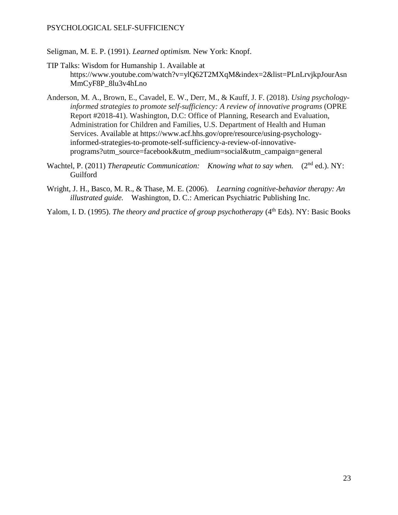- Seligman, M. E. P. (1991). *Learned optimism.* New York: Knopf.
- TIP Talks: Wisdom for Humanship 1. Available at https://www.youtube.com/watch?v=ylQ62T2MXqM&index=2&list=PLnLrvjkpJourAsn MmCyF8P\_8lu3v4hLno
- Anderson, M. A., Brown, E., Cavadel, E. W., Derr, M., & Kauff, J. F. (2018). *Using psychologyinformed strategies to promote self-sufficiency: A review of innovative programs* (OPRE Report #2018-41). Washington, D.C: Office of Planning, Research and Evaluation, Administration for Children and Families, U.S. Department of Health and Human Services. Available at https://www.acf.hhs.gov/opre/resource/using-psychologyinformed-strategies-to-promote-self-sufficiency-a-review-of-innovativeprograms?utm\_source=facebook&utm\_medium=social&utm\_campaign=general
- Wachtel, P. (2011) *Therapeutic Communication: Knowing what to say when.* (2<sup>nd</sup> ed.). NY: Guilford
- Wright, J. H., Basco, M. R., & Thase, M. E. (2006). *Learning cognitive-behavior therapy: An illustrated guide.* Washington, D. C.: American Psychiatric Publishing Inc.
- Yalom, I. D. (1995). *The theory and practice of group psychotherapy* (4<sup>th</sup> Eds). NY: Basic Books